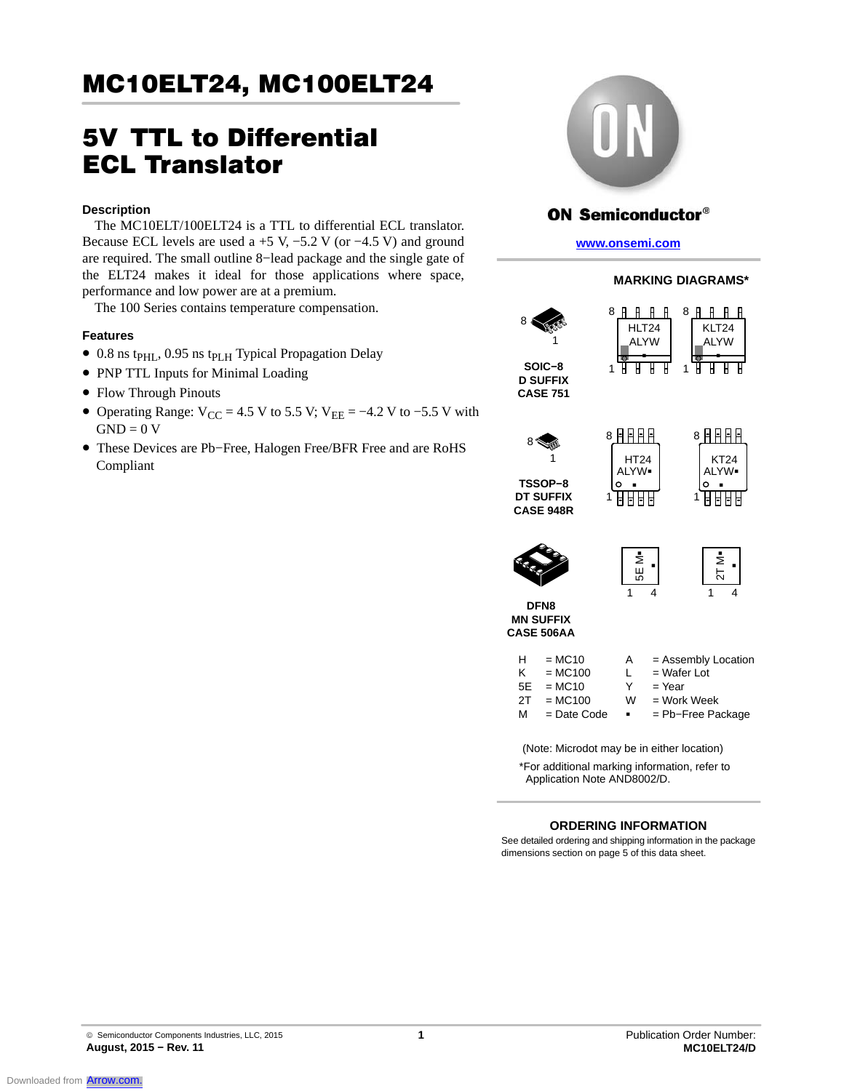# 5V TTL to Differential ECL Translator

### **Description**

The MC10ELT/100ELT24 is a TTL to differential ECL translator. Because ECL levels are used a +5 V,  $-5.2$  V (or  $-4.5$  V) and ground are required. The small outline 8−lead package and the single gate of the ELT24 makes it ideal for those applications where space, performance and low power are at a premium.

The 100 Series contains temperature compensation.

### **Features**

- 0.8 ns tp<sub>HL</sub>, 0.95 ns tp<sub>LH</sub> Typical Propagation Delay
- PNP TTL Inputs for Minimal Loading
- Flow Through Pinouts
- Operating Range:  $V_{CC} = 4.5 V$  to 5.5 V;  $V_{EE} = -4.2 V$  to -5.5 V with  $GND = 0 V$
- These Devices are Pb−Free, Halogen Free/BFR Free and are RoHS Compliant



### **ON Semiconductor®**

**www.onsemi.com**

HLT24 ALYW -

8 R R R R

### **MARKING DIAGRAMS\***

1



**CASE 751**



**DT SUFFIX CASE 948R**



KLT24 ALYW -

8 R R R R

π Ή



| έ<br>55 |  | ⋝<br>Ń |  |
|---------|--|--------|--|
|         |  |        |  |

**DFN8 MN SUFFIX CASE 506AA**

| H  | $= MC10$      | A              | $=$ Assembly Location |
|----|---------------|----------------|-----------------------|
| ĸ  | $= MC100$     | L              | $=$ Wafer Lot         |
| 5E | $= MC10$      | Y              | $=$ Year              |
| 2T | $= MC100$     | W              | $=$ Work Week         |
| м  | $=$ Date Code | $\blacksquare$ | $=$ Pb-Free Package   |

- THZ<del>4</del><br>ALYW■<br>∩

8月月日日

1

1

(Note: Microdot may be in either location)

\*For additional marking information, refer to Application Note AND8002/D.

### **ORDERING INFORMATION**

See detailed ordering and shipping information in the package dimensions section on page 5 of this data sheet.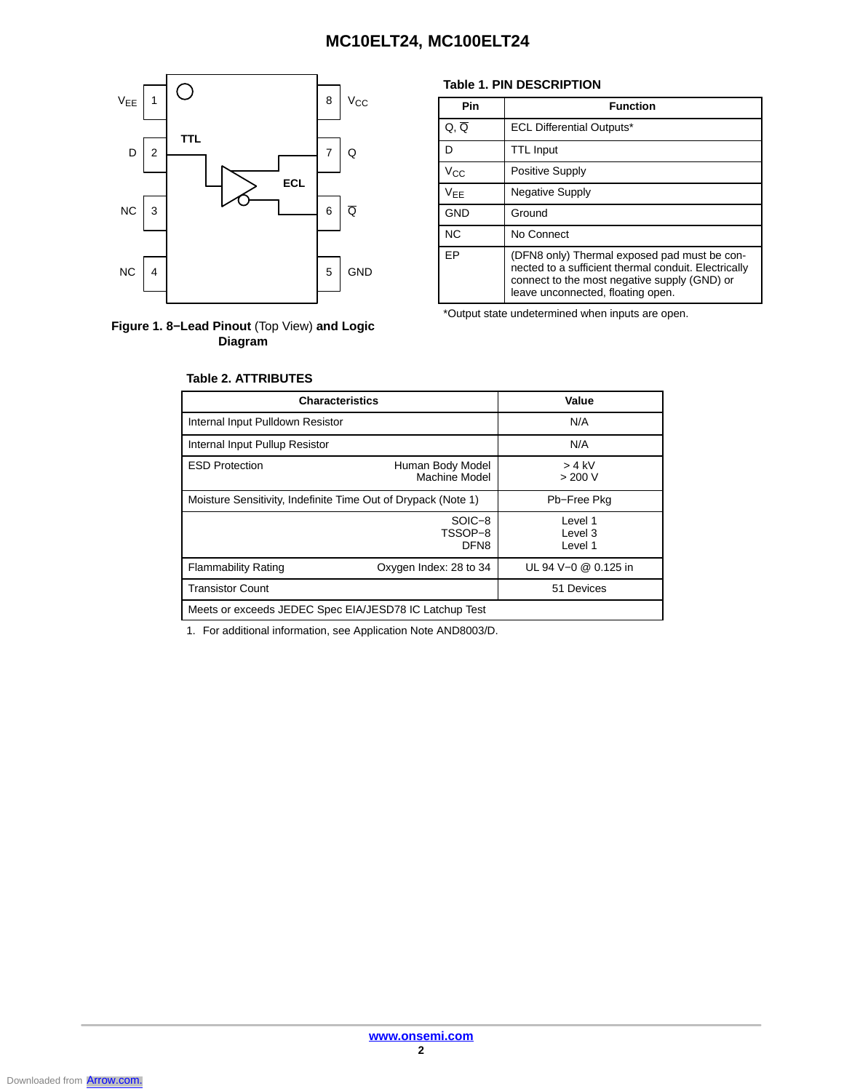



**Table 2. ATTRIBUTES**

### **Table 1. PIN DESCRIPTION**

| Pin          | <b>Function</b>                                                                                                                                                                           |
|--------------|-------------------------------------------------------------------------------------------------------------------------------------------------------------------------------------------|
| Q, Q         | <b>ECL Differential Outputs*</b>                                                                                                                                                          |
| D            | <b>TTL Input</b>                                                                                                                                                                          |
| $V_{\rm CC}$ | Positive Supply                                                                                                                                                                           |
| <b>VEE</b>   | <b>Negative Supply</b>                                                                                                                                                                    |
| <b>GND</b>   | Ground                                                                                                                                                                                    |
| <b>NC</b>    | No Connect                                                                                                                                                                                |
| EP           | (DFN8 only) Thermal exposed pad must be con-<br>nected to a sufficient thermal conduit. Electrically<br>connect to the most negative supply (GND) or<br>leave unconnected, floating open. |

\*Output state undetermined when inputs are open.

| <b>Characteristics</b>                                        | Value                                 |                                |
|---------------------------------------------------------------|---------------------------------------|--------------------------------|
| Internal Input Pulldown Resistor                              | N/A                                   |                                |
| Internal Input Pullup Resistor                                |                                       | N/A                            |
| <b>ESD Protection</b>                                         | $> 4$ kV<br>> 200 V                   |                                |
| Moisture Sensitivity, Indefinite Time Out of Drypack (Note 1) | Pb-Free Pkg                           |                                |
|                                                               | SOIC-8<br>TSSOP-8<br>DFN <sub>8</sub> | Level 1<br>1 evel 3<br>Level 1 |
| <b>Flammability Rating</b>                                    | Oxygen Index: 28 to 34                | UL 94 V-0 @ 0.125 in           |
| <b>Transistor Count</b>                                       |                                       | 51 Devices                     |
| Meets or exceeds JEDEC Spec EIA/JESD78 IC Latchup Test        |                                       |                                |

1. For additional information, see Application Note AND8003/D.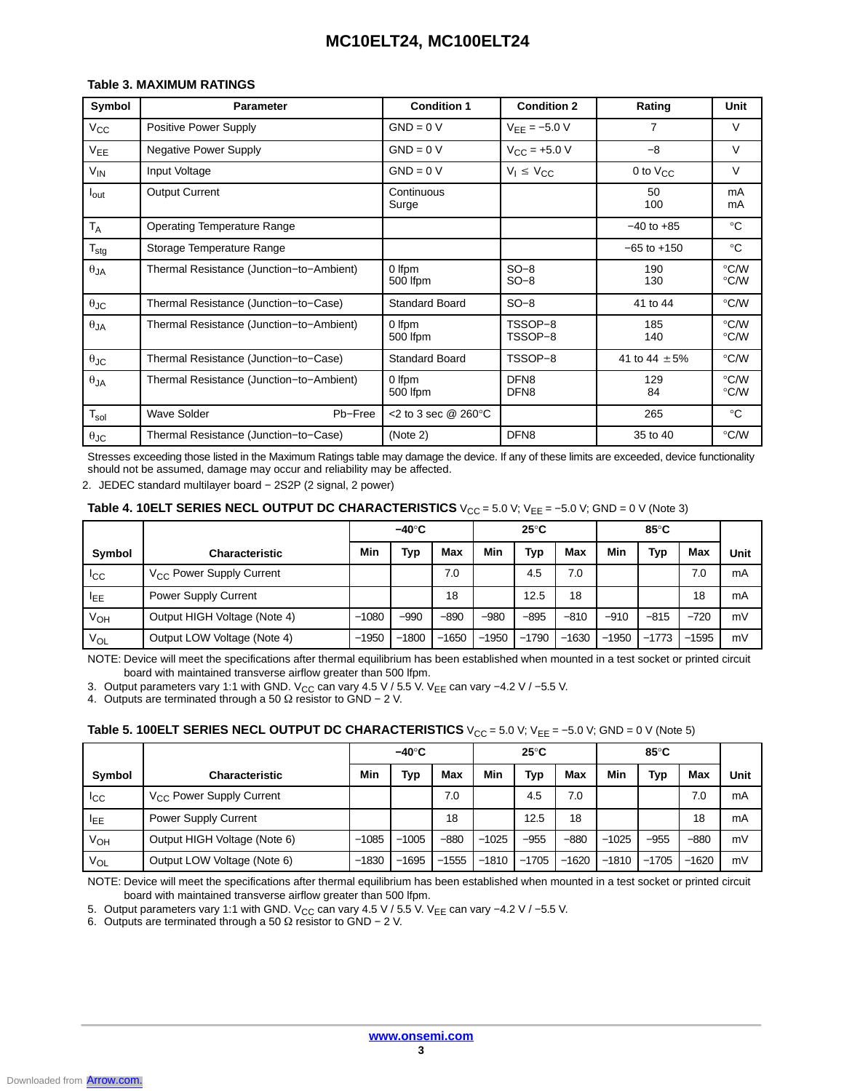### **Table 3. MAXIMUM RATINGS**

| Symbol               | <b>Parameter</b>                         | <b>Condition 1</b>                | <b>Condition 2</b>                   | Rating            | Unit         |
|----------------------|------------------------------------------|-----------------------------------|--------------------------------------|-------------------|--------------|
| $V_{\rm CC}$         | Positive Power Supply                    | $GND = 0 V$                       | $V_{EE} = -5.0 V$                    | 7                 | V            |
| $V_{EE}$             | Negative Power Supply                    | $GND = 0 V$                       | $V_{CC}$ = +5.0 V                    | $-8$              | V            |
| $V_{IN}$             | Input Voltage                            | $GND = 0 V$                       | $V_1 \leq V_{CC}$                    | 0 to $V_{CC}$     | V            |
| $I_{\text{out}}$     | <b>Output Current</b>                    | Continuous<br>Surge               |                                      | 50<br>100         | mA<br>mA     |
| $T_A$                | <b>Operating Temperature Range</b>       |                                   |                                      | $-40$ to $+85$    | $^{\circ}C$  |
| $T_{\text{stg}}$     | Storage Temperature Range                |                                   |                                      | $-65$ to $+150$   | $^{\circ}$ C |
| $\theta_{JA}$        | Thermal Resistance (Junction-to-Ambient) | 0 Ifpm<br>500 Ifpm                | $SO-8$<br>$SO-8$                     | 190<br>130        | °C/W<br>°C/W |
| $\theta$ JC          | Thermal Resistance (Junction-to-Case)    | <b>Standard Board</b>             | $SO-8$                               | 41 to 44          | °C/W         |
| $\theta$ JA          | Thermal Resistance (Junction-to-Ambient) | 0 Ifpm<br>500 lfpm                | TSSOP-8<br>TSSOP-8                   | 185<br>140        | °C/W<br>°C∕W |
| $\theta_{\text{JC}}$ | Thermal Resistance (Junction-to-Case)    | <b>Standard Board</b>             | TSSOP-8                              | 41 to 44 $\pm$ 5% | °C/W         |
| $\theta_{JA}$        | Thermal Resistance (Junction-to-Ambient) | 0 Ifpm<br>500 Ifpm                | DFN <sub>8</sub><br>DFN <sub>8</sub> | 129<br>84         | °C/W<br>°C/W |
| $T_{sol}$            | <b>Wave Solder</b><br>Pb-Free            | $<$ 2 to 3 sec @ 260 $^{\circ}$ C |                                      | 265               | $^{\circ}$ C |
| $\theta_{\text{JC}}$ | Thermal Resistance (Junction-to-Case)    | (Note 2)                          | DFN <sub>8</sub>                     | 35 to 40          | °C/W         |

Stresses exceeding those listed in the Maximum Ratings table may damage the device. If any of these limits are exceeded, device functionality should not be assumed, damage may occur and reliability may be affected.

2. JEDEC standard multilayer board - 2S2P (2 signal, 2 power)

### **Table 4. 10ELT SERIES NECL OUTPUT DC CHARACTERISTICS**  $V_{CC}$  = 5.0 V;  $V_{EE}$  = –5.0 V; GND = 0 V (Note 3)

|             |                                      |         | $-40^\circ C$ |         |         | $25^{\circ}$ C |         |         | 85°C    |         |      |
|-------------|--------------------------------------|---------|---------------|---------|---------|----------------|---------|---------|---------|---------|------|
| Symbol      | <b>Characteristic</b>                | Min     | Typ           | Max     | Min     | Typ            | Max     | Min     | Typ     | Max     | Unit |
| <b>I</b> cc | V <sub>CC</sub> Power Supply Current |         |               | 7.0     |         | 4.5            | 7.0     |         |         | 7.0     | mA   |
| <b>IEE</b>  | <b>Power Supply Current</b>          |         |               | 18      |         | 12.5           | 18      |         |         | 18      | mA   |
| Ѵѹ          | Output HIGH Voltage (Note 4)         | $-1080$ | $-990$        | $-890$  | $-980$  | $-895$         | $-810$  | $-910$  | $-815$  | $-720$  | mV   |
| $V_{OL}$    | Output LOW Voltage (Note 4)          | $-1950$ | $-1800$       | $-1650$ | $-1950$ | $-1790$        | $-1630$ | $-1950$ | $-1773$ | $-1595$ | mV   |

NOTE: Device will meet the specifications after thermal equilibrium has been established when mounted in a test socket or printed circuit board with maintained transverse airflow greater than 500 lfpm.

3. Output parameters vary 1:1 with GND. V<sub>CC</sub> can vary 4.5 V / 5.5 V. V<sub>EE</sub> can vary −4.2 V / −5.5 V.

4. Outputs are terminated through a 50 Ω resistor to GND – 2 V.

### **Table 5. 100ELT SERIES NECL OUTPUT DC CHARACTERISTICS**  $V_{CC} = 5.0 V$ ;  $V_{EE} = -5.0 V$ ; GND = 0 V (Note 5)

|                 |                                      |         | $-40^\circ C$ |         |         | $25^{\circ}$ C |         |         | 85°C    |         |      |
|-----------------|--------------------------------------|---------|---------------|---------|---------|----------------|---------|---------|---------|---------|------|
| Symbol          | <b>Characteristic</b>                | Min     | Typ           | Max     | Min     | Typ            | Max     | Min     | Typ     | Max     | Unit |
| <sub>ICC</sub>  | V <sub>CC</sub> Power Supply Current |         |               | 7.0     |         | 4.5            | 7.0     |         |         | 7.0     | mA   |
| <b>IEE</b>      | <b>Power Supply Current</b>          |         |               | 18      |         | 12.5           | 18      |         |         | 18      | mA   |
| V <sub>OH</sub> | Output HIGH Voltage (Note 6)         | $-1085$ | $-1005$       | $-880$  | $-1025$ | $-955$         | $-880$  | $-1025$ | $-955$  | $-880$  | mV   |
| $V_{OL}$        | Output LOW Voltage (Note 6)          | $-1830$ | $-1695$       | $-1555$ | $-1810$ | $-1705$        | $-1620$ | $-1810$ | $-1705$ | $-1620$ | mV   |

NOTE: Device will meet the specifications after thermal equilibrium has been established when mounted in a test socket or printed circuit board with maintained transverse airflow greater than 500 lfpm.

5. Output parameters vary 1:1 with GND. V<sub>CC</sub> can vary 4.5 V / 5.5 V. V<sub>EE</sub> can vary −4.2 V / −5.5 V.

6. Outputs are terminated through a 50  $\Omega$  resistor to GND – 2 V.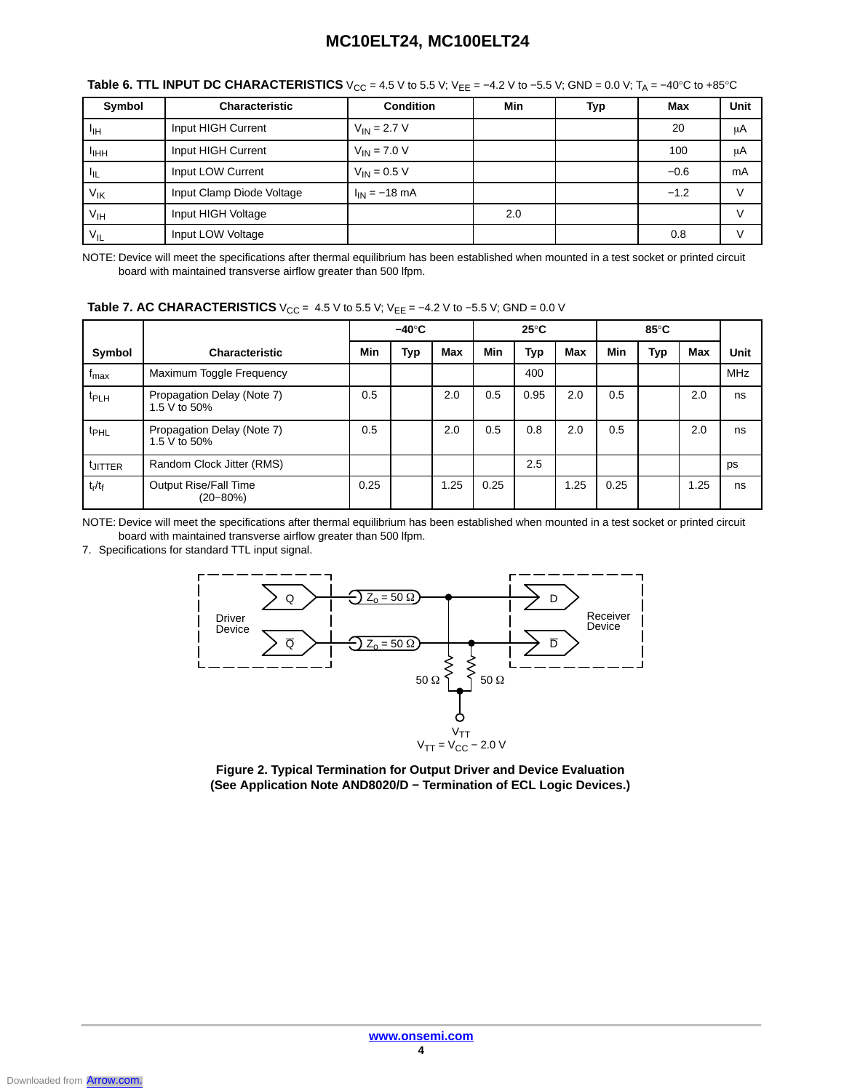| Symbol            | Characteristic            | <b>Condition</b>  | Min | Typ | Max    | Unit |
|-------------------|---------------------------|-------------------|-----|-----|--------|------|
| $I_{\mathsf{IH}}$ | Input HIGH Current        | $V_{IN}$ = 2.7 V  |     |     | 20     | μA   |
| ╹ҥҥ               | Input HIGH Current        | $V_{IN}$ = 7.0 V  |     |     | 100    | μA   |
| $I_{\rm IL}$      | Input LOW Current         | $V_{IN} = 0.5 V$  |     |     | $-0.6$ | mA   |
| $V_{\text{IK}}$   | Input Clamp Diode Voltage | $I_{IN} = -18$ mA |     |     | $-1.2$ |      |
| V <sub>IH</sub>   | Input HIGH Voltage        |                   | 2.0 |     |        |      |
| $V_{IL}$          | Input LOW Voltage         |                   |     |     | 0.8    |      |

**Table 6. TTL INPUT DC CHARACTERISTICS**  $V_{CC} = 4.5 V$  to 5.5 V;  $V_{EE} = -4.2 V$  to  $-5.5 V$ ; GND = 0.0 V; T<sub>A</sub> = −40°C to +85°C

NOTE: Device will meet the specifications after thermal equilibrium has been established when mounted in a test socket or printed circuit board with maintained transverse airflow greater than 500 lfpm.

|  | <b>Table 7. AC CHARACTERISTICS</b> $V_{CC} = 4.5 V$ to 5.5 V; $V_{EE} = -4.2 V$ to -5.5 V; GND = 0.0 V |  |
|--|--------------------------------------------------------------------------------------------------------|--|
|--|--------------------------------------------------------------------------------------------------------|--|

|                     |                                               |      | $-40^\circ C$ |            |            | $25^{\circ}$ C |            |      | $85^{\circ}$ C |            |            |
|---------------------|-----------------------------------------------|------|---------------|------------|------------|----------------|------------|------|----------------|------------|------------|
| Symbol              | <b>Characteristic</b>                         | Min  | Тур           | <b>Max</b> | <b>Min</b> | Typ            | <b>Max</b> | Min  | Typ            | <b>Max</b> | Unit       |
| <sup>I</sup> max    | Maximum Toggle Frequency                      |      |               |            |            | 400            |            |      |                |            | <b>MHz</b> |
| t <sub>PLH</sub>    | Propagation Delay (Note 7)<br>1.5 V to 50%    | 0.5  |               | 2.0        | 0.5        | 0.95           | 2.0        | 0.5  |                | 2.0        | ns         |
| t <sub>PHL</sub>    | Propagation Delay (Note 7)<br>1.5 V to 50%    | 0.5  |               | 2.0        | 0.5        | 0.8            | 2.0        | 0.5  |                | 2.0        | ns         |
| <sup>t</sup> JITTER | Random Clock Jitter (RMS)                     |      |               |            |            | 2.5            |            |      |                |            | ps         |
| $t_r/t_f$           | <b>Output Rise/Fall Time</b><br>$(20 - 80\%)$ | 0.25 |               | 1.25       | 0.25       |                | 1.25       | 0.25 |                | 1.25       | ns         |

NOTE: Device will meet the specifications after thermal equilibrium has been established when mounted in a test socket or printed circuit board with maintained transverse airflow greater than 500 lfpm.

7. Specifications for standard TTL input signal.



**Figure 2. Typical Termination for Output Driver and Device Evaluation (See Application Note AND8020/D − Termination of ECL Logic Devices.)**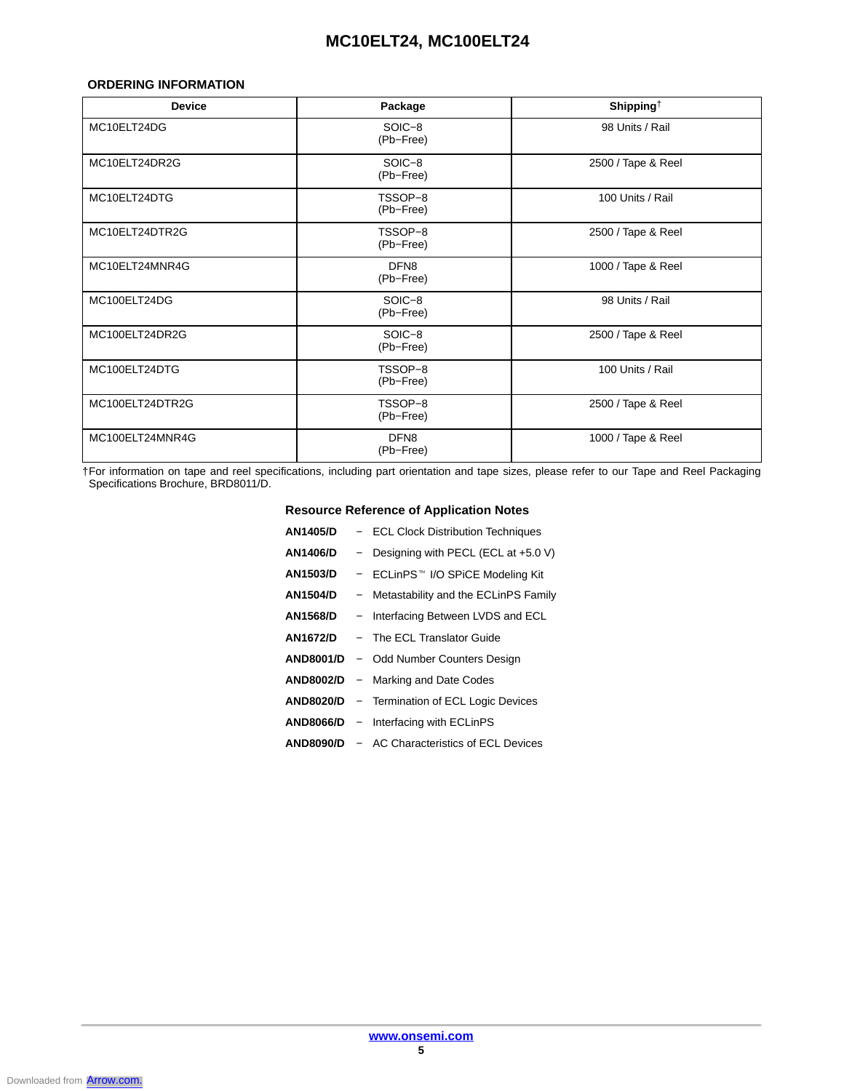### **ORDERING INFORMATION**

| <b>Device</b>   | Package                       | Shipping $\dagger$ |
|-----------------|-------------------------------|--------------------|
| MC10ELT24DG     | SOIC-8<br>(Pb-Free)           | 98 Units / Rail    |
| MC10ELT24DR2G   | SOIC-8<br>(Pb-Free)           | 2500 / Tape & Reel |
| MC10ELT24DTG    | TSSOP-8<br>(Pb-Free)          | 100 Units / Rail   |
| MC10ELT24DTR2G  | TSSOP-8<br>(Pb-Free)          | 2500 / Tape & Reel |
| MC10ELT24MNR4G  | DFN <sub>8</sub><br>(Pb-Free) | 1000 / Tape & Reel |
| MC100ELT24DG    | SOIC-8<br>(Pb-Free)           | 98 Units / Rail    |
| MC100ELT24DR2G  | SOIC-8<br>(Pb-Free)           | 2500 / Tape & Reel |
| MC100ELT24DTG   | TSSOP-8<br>(Pb-Free)          | 100 Units / Rail   |
| MC100ELT24DTR2G | TSSOP-8<br>(Pb-Free)          | 2500 / Tape & Reel |
| MC100ELT24MNR4G | DFN <sub>8</sub><br>(Pb-Free) | 1000 / Tape & Reel |

†For information on tape and reel specifications, including part orientation and tape sizes, please refer to our Tape and Reel Packaging Specifications Brochure, BRD8011/D.

### **Resource Reference of Application Notes**

| <b>AN1405/D</b>  | - ECL Clock Distribution Techniques                  |
|------------------|------------------------------------------------------|
| <b>AN1406/D</b>  | - Designing with PECL (ECL at $+5.0$ V)              |
| <b>AN1503/D</b>  | - ECLinPS™ I/O SPiCE Modeling Kit                    |
| <b>AN1504/D</b>  | - Metastability and the ECLinPS Family               |
| <b>AN1568/D</b>  | - Interfacing Between LVDS and ECL                   |
| AN1672/D         | - The ECL Translator Guide                           |
| <b>AND8001/D</b> | - Odd Number Counters Design                         |
|                  | <b>AND8002/D</b> – Marking and Date Codes            |
| <b>AND8020/D</b> | - Termination of ECL Logic Devices                   |
|                  | AND8066/D - Interfacing with ECLinPS                 |
|                  | <b>AND8090/D - AC Characteristics of ECL Devices</b> |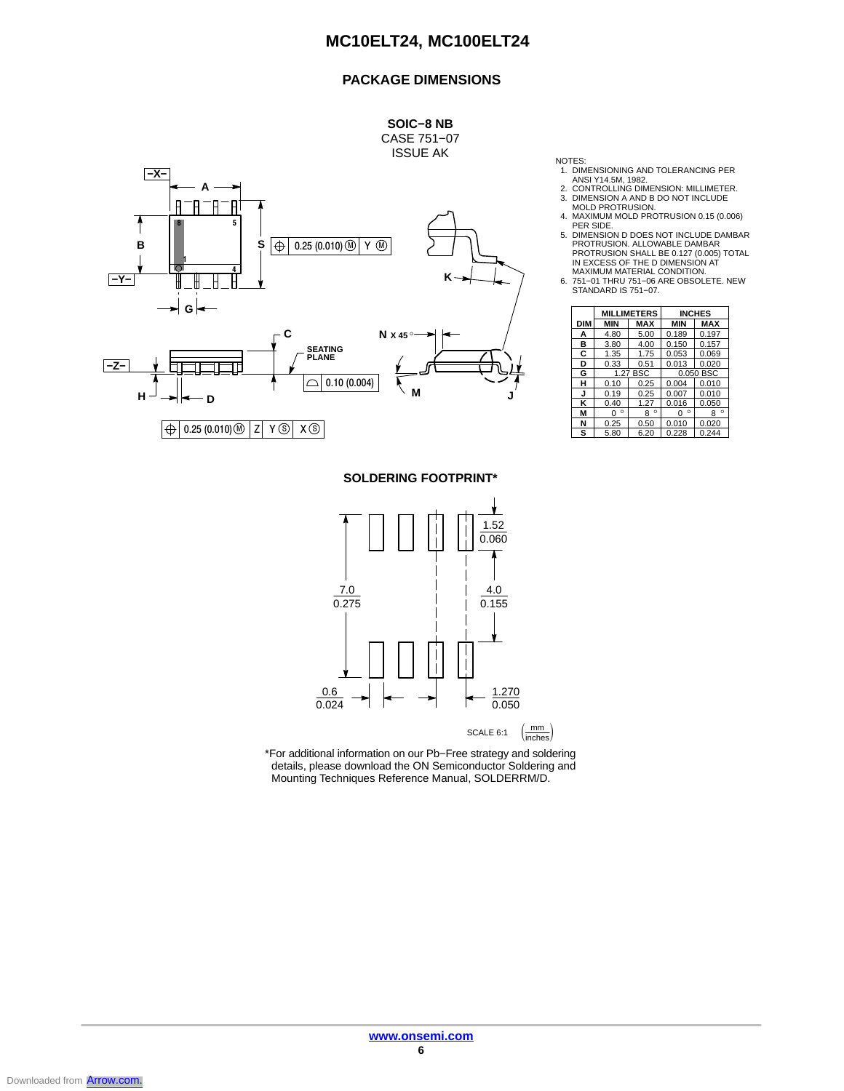### **PACKAGE DIMENSIONS**



NOTES:

- 1. DIMENSIONING AND TOLERANCING PER ANSI Y14.5M, 1982.
	-
- 
- 2. CONTROLLING DIMENSION: MILLIMETER. 3. DIMENSION A AND B DO NOT INCLUDE MOLD PROTRUSION. 4. MAXIMUM MOLD PROTRUSION 0.15 (0.006)
- 
- FER SIDE.<br>
5. DIMENSION D DOES NOT INCLUDE DAMBAR<br>
PROTRUSION. ALLOWABLE DAMBAR<br>
PROTRUSION SHALL BE 0.127 (0.005) TOTAL<br>
IN EXCESS OF THE D DIMENSION AT<br>
MAXIMUM MATERIAL CONDITION.<br>
6. 751−01 THRU 751−06 ARE OBSOLETE. N

STANDARD IS 751−07.

|     | <b>MILLIMETERS</b> |              | <b>INCHES</b> |              |
|-----|--------------------|--------------|---------------|--------------|
| DIM | MIN                | MAX          | <b>MIN</b>    | <b>MAX</b>   |
| А   | 4.80               | 5.00         | 0.189         | 0.197        |
| в   | 3.80               | 4.00         | 0.150         | 0.157        |
| C   | 1.35               | 1.75         | 0.053         | 0.069        |
| D   | 0.33               | 0.51         | 0.013         | 0.020        |
| G   | 1.27 BSC           |              | 0.050 BSC     |              |
| н   | 0.10               | 0.25         | 0.004         | 0.010        |
| J   | 0.19               | 0.25         | 0.007         | 0.010        |
| κ   | 0.40               | 1.27         | 0.016         | 0.050        |
| М   | ۰<br>0             | $\circ$<br>8 | $\circ$<br>0  | $\circ$<br>8 |
| N   | 0.25               | 0.50         | 0.010         | 0.020        |
| s   | 5.80               | 6.20         | 0.228         | 0.244        |

### **SOLDERING FOOTPRINT\***



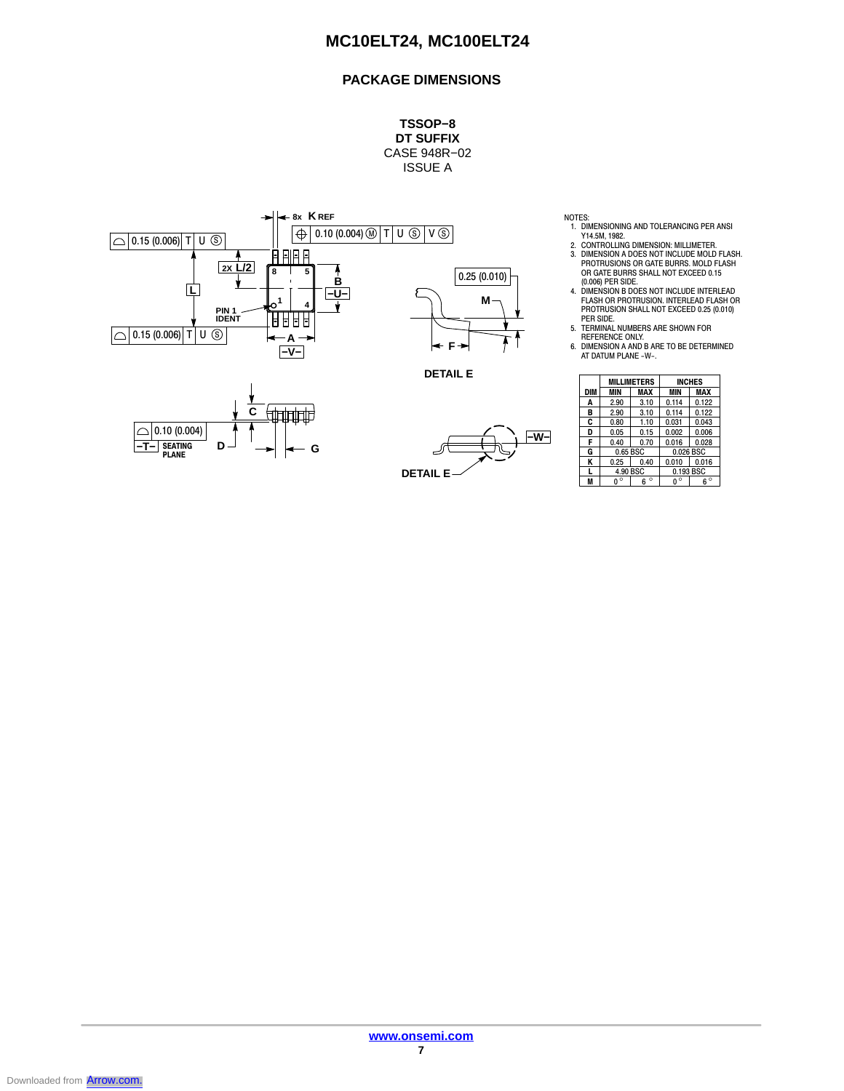### **PACKAGE DIMENSIONS**

**TSSOP−8 DT SUFFIX** CASE 948R−02 ISSUE A



NOTES:

- 1. DIMENSIONING AND TOLERANCING PER ANSI Y14.5M, 1982. 2. CONTROLLING DIMENSION: MILLIMETER.
- 3. DIMENSION A DOES NOT INCLUDE MOLD FLASH. PROTRUSIONS OR GATE BURRS. MOLD FLASH OR GATE BURRS SHALL NOT EXCEED 0.15
- (0.006) PER SIDE. 4. DIMENSION B DOES NOT INCLUDE INTERLEAD FLASH OR PROTRUSION. INTERLEAD FLASH OR PROTRUSION SHALL NOT EXCEED 0.25 (0.010)
- 
- PER SIDE.<br>R5. TERMINAL NUMBERS ARE SHOWN FOR<br>BEFERENCE ONLY.<br>6. DIMENSION A AND B ARE TO BE DETERMINED<br>AT DATUM PLANE -W-.

|            | <b>MILLIMETERS</b> |              | <b>INCHES</b> |            |
|------------|--------------------|--------------|---------------|------------|
| <b>DIM</b> | MIN                | <b>MAX</b>   | <b>MIN</b>    | <b>MAX</b> |
| A          | 2.90               | 3.10         | 0.114         | 0.122      |
| в          | 2.90               | 3.10         | 0.114         | 0.122      |
| C          | 0.80               | 1.10         | 0.031         | 0.043      |
| D          | 0.05               | 0.15         | 0.002         | 0.006      |
| F          | 0.40               | 0.70         | 0.016         | 0.028      |
| G          | 0.65 BSC           |              | 0.026 BSC     |            |
| Κ          | 0.25               | 0.40         | 0.010         | 0.016      |
| L          | 4.90 BSC           |              | 0.193 BSC     |            |
| M          | O                  | $\circ$<br>հ | ٥             | $\circ$    |